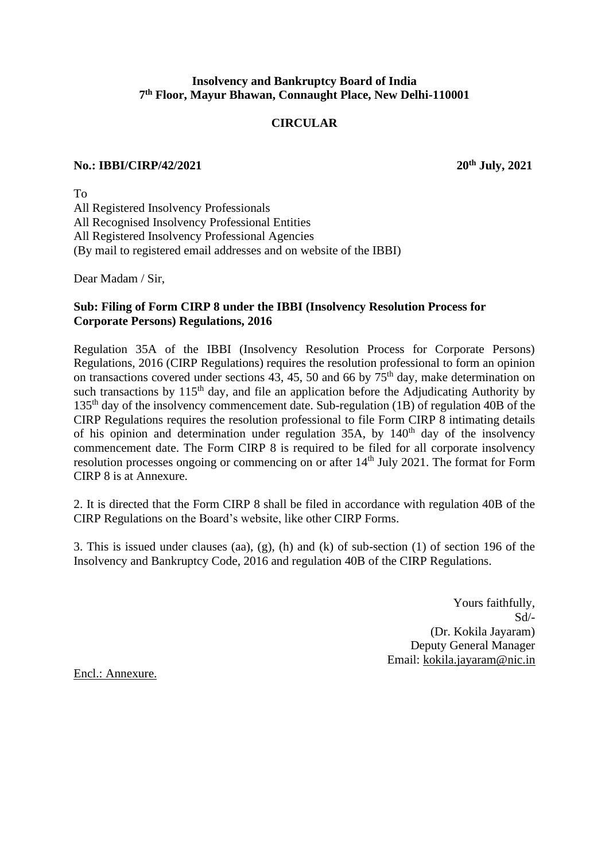## **Insolvency and Bankruptcy Board of India 7 th Floor, Mayur Bhawan, Connaught Place, New Delhi-110001**

# **CIRCULAR**

#### **No.: IBBI/CIRP/42/2021 20th July, 2021**

To All Registered Insolvency Professionals All Recognised Insolvency Professional Entities All Registered Insolvency Professional Agencies (By mail to registered email addresses and on website of the IBBI)

Dear Madam / Sir,

## **Sub: Filing of Form CIRP 8 under the IBBI (Insolvency Resolution Process for Corporate Persons) Regulations, 2016**

Regulation 35A of the IBBI (Insolvency Resolution Process for Corporate Persons) Regulations, 2016 (CIRP Regulations) requires the resolution professional to form an opinion on transactions covered under sections 43, 45, 50 and 66 by  $75<sup>th</sup>$  day, make determination on such transactions by  $115<sup>th</sup>$  day, and file an application before the Adjudicating Authority by 135th day of the insolvency commencement date. Sub-regulation (1B) of regulation 40B of the CIRP Regulations requires the resolution professional to file Form CIRP 8 intimating details of his opinion and determination under regulation  $35A$ , by  $140<sup>th</sup>$  day of the insolvency commencement date. The Form CIRP 8 is required to be filed for all corporate insolvency resolution processes ongoing or commencing on or after 14<sup>th</sup> July 2021. The format for Form CIRP 8 is at Annexure.

2. It is directed that the Form CIRP 8 shall be filed in accordance with regulation 40B of the CIRP Regulations on the Board's website, like other CIRP Forms.

3. This is issued under clauses (aa), (g), (h) and (k) of sub-section (1) of section 196 of the Insolvency and Bankruptcy Code, 2016 and regulation 40B of the CIRP Regulations.

> Yours faithfully, Sd/- (Dr. Kokila Jayaram) Deputy General Manager Email: [kokila.jayaram@nic.in](mailto:kokila.jayaram@nic.in)

Encl.: Annexure.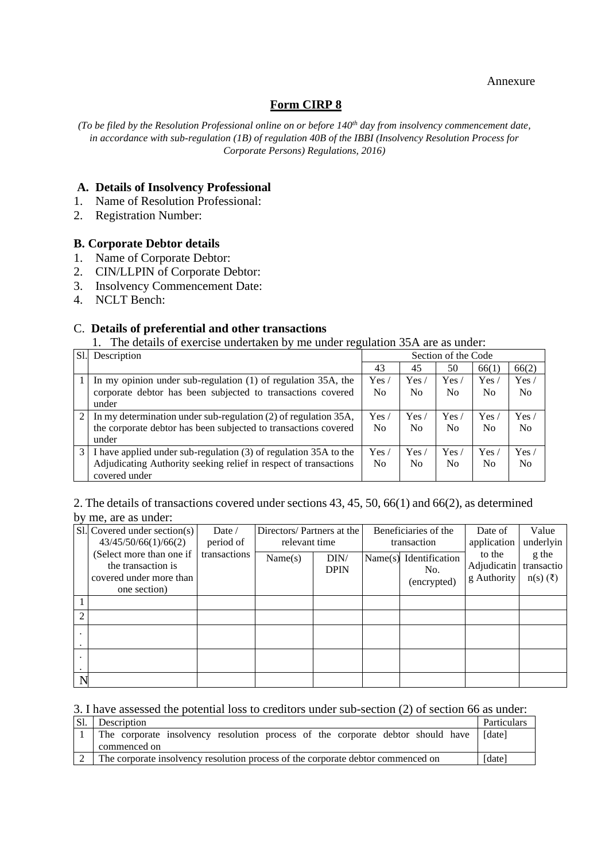#### Annexure

## **Form CIRP 8**

*(To be filed by the Resolution Professional online on or before 140th day from insolvency commencement date, in accordance with sub-regulation (1B) of regulation 40B of the IBBI (Insolvency Resolution Process for Corporate Persons) Regulations, 2016)*

#### **A. Details of Insolvency Professional**

- 1. Name of Resolution Professional:
- 2. Registration Number:

### **B. Corporate Debtor details**

- 1. Name of Corporate Debtor:
- 2. CIN/LLPIN of Corporate Debtor:
- 3. Insolvency Commencement Date:
- 4. NCLT Bench:

### C. **Details of preferential and other transactions**

1. The details of exercise undertaken by me under regulation 35A are as under:

| S1. | Description                                                      | Section of the Code |                |                |                |                |
|-----|------------------------------------------------------------------|---------------------|----------------|----------------|----------------|----------------|
|     |                                                                  | 43                  | 45             | 50             | 66(1)          | 66(2)          |
|     | In my opinion under sub-regulation $(1)$ of regulation 35A, the  | Yes/                | Yes/           | Yes/           | Yes /          | Yes/           |
|     | corporate debtor has been subjected to transactions covered      | N <sub>0</sub>      | No             | N <sub>0</sub> | N <sub>0</sub> | No             |
|     | under                                                            |                     |                |                |                |                |
| 2   | In my determination under sub-regulation (2) of regulation 35A,  | Yes.                | Yes.           | Yes.           | Yes/           | Yes /          |
|     | the corporate debtor has been subjected to transactions covered  | N <sub>0</sub>      | N <sub>0</sub> | N <sub>o</sub> | N <sub>0</sub> | No             |
|     | under                                                            |                     |                |                |                |                |
| 3   | I have applied under sub-regulation (3) of regulation 35A to the | Yes.                | Yes            | Yes.           | Yes /          | Yes /          |
|     | Adjudicating Authority seeking relief in respect of transactions | No                  | N <sub>0</sub> | N <sub>0</sub> | N <sub>0</sub> | N <sub>o</sub> |
|     | covered under                                                    |                     |                |                |                |                |

### 2. The details of transactions covered under sections 43, 45, 50, 66(1) and 66(2), as determined by me, are as under:

|                | $S1.$ Covered under section(s)<br>43/45/50/66(1)/66(2)                                    | Date $\angle$<br>period of | Directors/Partners at the<br>relevant time |                     | Beneficiaries of the<br>transaction |                                      | Date of<br>application                          | Value<br>underlyin               |
|----------------|-------------------------------------------------------------------------------------------|----------------------------|--------------------------------------------|---------------------|-------------------------------------|--------------------------------------|-------------------------------------------------|----------------------------------|
|                | (Select more than one if<br>the transaction is<br>covered under more than<br>one section) | transactions               | Name(s)                                    | DIN/<br><b>DPIN</b> | Name(s)                             | Identification<br>No.<br>(encrypted) | to the<br>Adjudicatin transactio<br>g Authority | g the<br>$n(s)$ ( $\bar{\tau}$ ) |
|                |                                                                                           |                            |                                            |                     |                                     |                                      |                                                 |                                  |
| $\overline{2}$ |                                                                                           |                            |                                            |                     |                                     |                                      |                                                 |                                  |
|                |                                                                                           |                            |                                            |                     |                                     |                                      |                                                 |                                  |
|                |                                                                                           |                            |                                            |                     |                                     |                                      |                                                 |                                  |
| $\mathbf N$    |                                                                                           |                            |                                            |                     |                                     |                                      |                                                 |                                  |

#### 3. I have assessed the potential loss to creditors under sub-section (2) of section 66 as under:

| Sl. | Description                                                                      | Particulars |  |
|-----|----------------------------------------------------------------------------------|-------------|--|
|     | The corporate insolvency resolution process of the corporate debtor should have  | [date]      |  |
|     | commenced on                                                                     |             |  |
|     | The corporate insolvency resolution process of the corporate debtor commenced on |             |  |